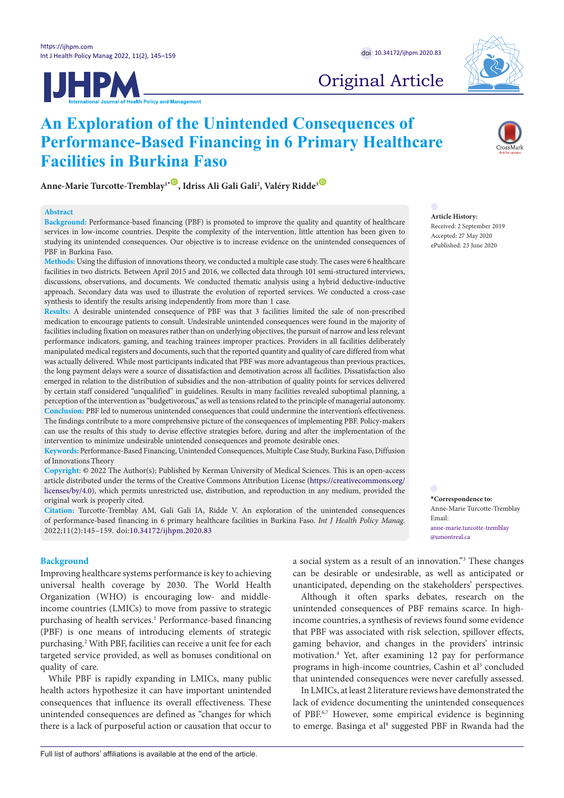



# Original Article

# **An Exploration of the Unintended Consequences of Performance-Based Financing in 6 Primary Healthcare Facilities in Burkina Faso**

**Anne-Marie Turcotte-Tremblay1[\\*](#page-0-0)** [ID](https://orcid.org/0000-0002-6138-9908) **, Idriss Ali Gali Gali2 , Valéry Ridde3** [ID](https://orcid.org/0000-0001-9299-8266)

#### **Abstract**

**Background:** Performance-based financing (PBF) is promoted to improve the quality and quantity of healthcare services in low-income countries. Despite the complexity of the intervention, little attention has been given to studying its unintended consequences. Our objective is to increase evidence on the unintended consequences of PBF in Burkina Faso.

**Methods:** Using the diffusion of innovations theory, we conducted a multiple case study. The cases were 6 healthcare facilities in two districts. Between April 2015 and 2016, we collected data through 101 semi-structured interviews, discussions, observations, and documents. We conducted thematic analysis using a hybrid deductive-inductive approach. Secondary data was used to illustrate the evolution of reported services. We conducted a cross-case synthesis to identify the results arising independently from more than 1 case.

**Results:** A desirable unintended consequence of PBF was that 3 facilities limited the sale of non-prescribed medication to encourage patients to consult. Undesirable unintended consequences were found in the majority of facilities including fixation on measures rather than on underlying objectives, the pursuit of narrow and less relevant performance indicators, gaming, and teaching trainees improper practices. Providers in all facilities deliberately manipulated medical registers and documents, such that the reported quantity and quality of care differed from what was actually delivered. While most participants indicated that PBF was more advantageous than previous practices, the long payment delays were a source of dissatisfaction and demotivation across all facilities. Dissatisfaction also emerged in relation to the distribution of subsidies and the non-attribution of quality points for services delivered by certain staff considered "unqualified" in guidelines. Results in many facilities revealed suboptimal planning, a perception of the intervention as "budgetivorous," as well as tensions related to the principle of managerial autonomy. **Conclusion:** PBF led to numerous unintended consequences that could undermine the intervention's effectiveness. The findings contribute to a more comprehensive picture of the consequences of implementing PBF. Policy-makers can use the results of this study to devise effective strategies before, during and after the implementation of the intervention to minimize undesirable unintended consequences and promote desirable ones.

**Keywords:** Performance-Based Financing, Unintended Consequences, Multiple Case Study, Burkina Faso, Diffusion of Innovations Theory

**Copyright:** © 2022 The Author(s); Published by Kerman University of Medical Sciences. This is an open-access article distributed under the terms of the Creative Commons Attribution License [\(https://creativecommons.org/](https://creativecommons.org/licenses/by/4.0) [licenses/by/4.0\)](https://creativecommons.org/licenses/by/4.0), which permits unrestricted use, distribution, and reproduction in any medium, provided the original work is properly cited.

**Citation:** Turcotte-Tremblay AM, Gali Gali IA, Ridde V. An exploration of the unintended consequences of performance-based financing in 6 primary healthcare facilities in Burkina Faso. *Int J Health Policy Manag.*  2022;11(2):145–159. doi:[10.34172/ijhpm.2020.83](https://doi.org/10.34172/ijhpm.2020.83)

### **Background**

Improving healthcare systems performance is key to achieving universal health coverage by 2030. The World Health Organization (WHO) is encouraging low- and middleincome countries (LMICs) to move from passive to strategic purchasing of health services.<sup>1</sup> Performance-based financing (PBF) is one means of introducing elements of strategic purchasing.2 With PBF, facilities can receive a unit fee for each targeted service provided, as well as bonuses conditional on quality of care.

While PBF is rapidly expanding in LMICs, many public health actors hypothesize it can have important unintended consequences that influence its overall effectiveness. These unintended consequences are defined as "changes for which there is a lack of purposeful action or causation that occur to **Article History:** Received: 2 September 2019

Accepted: 27 May 2020 ePublished: 23 June 2020

<span id="page-0-0"></span>**\*Correspondence to:** Anne-Marie Turcotte-Tremblay Email: anne-marie.turcotte-tremblay @umontreal.ca

a social system as a result of an innovation."3 These changes can be desirable or undesirable, as well as anticipated or unanticipated, depending on the stakeholders' perspectives.

Although it often sparks debates, research on the unintended consequences of PBF remains scarce. In highincome countries, a synthesis of reviews found some evidence that PBF was associated with risk selection, spillover effects, gaming behavior, and changes in the providers' intrinsic motivation.4 Yet, after examining 12 pay for performance programs in high-income countries, Cashin et al<sup>5</sup> concluded that unintended consequences were never carefully assessed.

In LMICs, at least 2 literature reviews have demonstrated the lack of evidence documenting the unintended consequences of PBF.6,7 However, some empirical evidence is beginning to emerge. Basinga et al<sup>8</sup> suggested PBF in Rwanda had the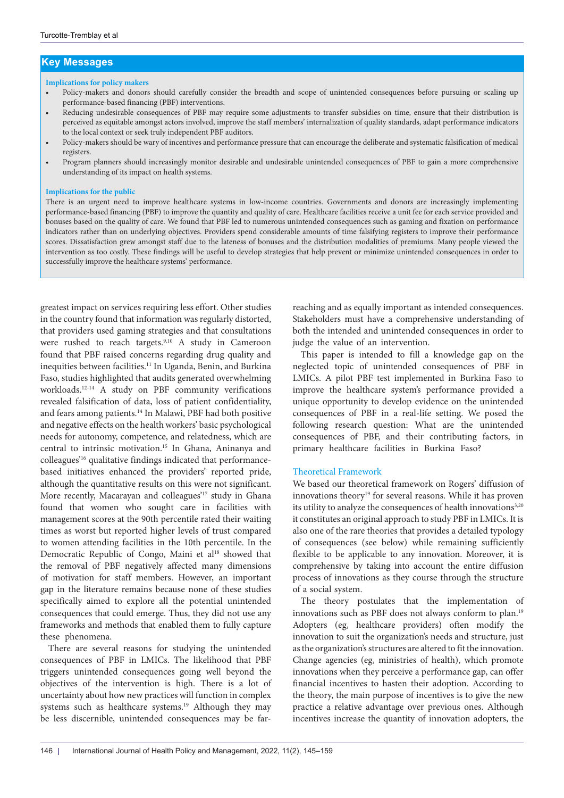# **Key Messages**

#### **Implications for policy makers**

- Policy-makers and donors should carefully consider the breadth and scope of unintended consequences before pursuing or scaling up performance-based financing (PBF) interventions.
- Reducing undesirable consequences of PBF may require some adjustments to transfer subsidies on time, ensure that their distribution is perceived as equitable amongst actors involved, improve the staff members' internalization of quality standards, adapt performance indicators to the local context or seek truly independent PBF auditors.
- Policy-makers should be wary of incentives and performance pressure that can encourage the deliberate and systematic falsification of medical registers.
- Program planners should increasingly monitor desirable and undesirable unintended consequences of PBF to gain a more comprehensive understanding of its impact on health systems.

#### **Implications for the public**

There is an urgent need to improve healthcare systems in low-income countries. Governments and donors are increasingly implementing performance-based financing (PBF) to improve the quantity and quality of care. Healthcare facilities receive a unit fee for each service provided and bonuses based on the quality of care. We found that PBF led to numerous unintended consequences such as gaming and fixation on performance indicators rather than on underlying objectives. Providers spend considerable amounts of time falsifying registers to improve their performance scores. Dissatisfaction grew amongst staff due to the lateness of bonuses and the distribution modalities of premiums. Many people viewed the intervention as too costly. These findings will be useful to develop strategies that help prevent or minimize unintended consequences in order to successfully improve the healthcare systems' performance.

greatest impact on services requiring less effort. Other studies in the country found that information was regularly distorted, that providers used gaming strategies and that consultations were rushed to reach targets.<sup>9,10</sup> A study in Cameroon found that PBF raised concerns regarding drug quality and inequities between facilities.<sup>11</sup> In Uganda, Benin, and Burkina Faso, studies highlighted that audits generated overwhelming workloads.12-14 A study on PBF community verifications revealed falsification of data, loss of patient confidentiality, and fears among patients.14 In Malawi, PBF had both positive and negative effects on the health workers' basic psychological needs for autonomy, competence, and relatedness, which are central to intrinsic motivation.15 In Ghana, Aninanya and colleagues'16 qualitative findings indicated that performancebased initiatives enhanced the providers' reported pride, although the quantitative results on this were not significant. More recently, Macarayan and colleagues'<sup>17</sup> study in Ghana found that women who sought care in facilities with management scores at the 90th percentile rated their waiting times as worst but reported higher levels of trust compared to women attending facilities in the 10th percentile. In the Democratic Republic of Congo, Maini et al<sup>18</sup> showed that the removal of PBF negatively affected many dimensions of motivation for staff members. However, an important gap in the literature remains because none of these studies specifically aimed to explore all the potential unintended consequences that could emerge. Thus, they did not use any frameworks and methods that enabled them to fully capture these phenomena.

There are several reasons for studying the unintended consequences of PBF in LMICs. The likelihood that PBF triggers unintended consequences going well beyond the objectives of the intervention is high. There is a lot of uncertainty about how new practices will function in complex systems such as healthcare systems.<sup>19</sup> Although they may be less discernible, unintended consequences may be far-

reaching and as equally important as intended consequences. Stakeholders must have a comprehensive understanding of both the intended and unintended consequences in order to judge the value of an intervention.

This paper is intended to fill a knowledge gap on the neglected topic of unintended consequences of PBF in LMICs. A pilot PBF test implemented in Burkina Faso to improve the healthcare system's performance provided a unique opportunity to develop evidence on the unintended consequences of PBF in a real-life setting. We posed the following research question: What are the unintended consequences of PBF, and their contributing factors, in primary healthcare facilities in Burkina Faso?

#### Theoretical Framework

We based our theoretical framework on Rogers' diffusion of innovations theory<sup>19</sup> for several reasons. While it has proven its utility to analyze the consequences of health innovations<sup>3,20</sup> it constitutes an original approach to study PBF in LMICs. It is also one of the rare theories that provides a detailed typology of consequences (see below) while remaining sufficiently flexible to be applicable to any innovation. Moreover, it is comprehensive by taking into account the entire diffusion process of innovations as they course through the structure of a social system.

The theory postulates that the implementation of innovations such as PBF does not always conform to plan.<sup>19</sup> Adopters (eg, healthcare providers) often modify the innovation to suit the organization's needs and structure, just as the organization's structures are altered to fit the innovation. Change agencies (eg, ministries of health), which promote innovations when they perceive a performance gap, can offer financial incentives to hasten their adoption. According to the theory, the main purpose of incentives is to give the new practice a relative advantage over previous ones. Although incentives increase the quantity of innovation adopters, the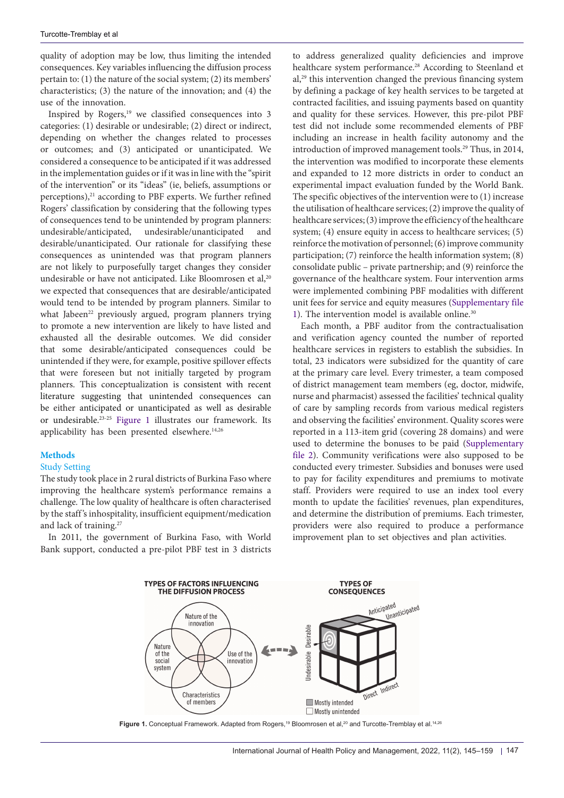quality of adoption may be low, thus limiting the intended consequences. Key variables influencing the diffusion process pertain to: (1) the nature of the social system; (2) its members' characteristics; (3) the nature of the innovation; and (4) the use of the innovation.

Inspired by Rogers,<sup>19</sup> we classified consequences into 3 categories: (1) desirable or undesirable; (2) direct or indirect, depending on whether the changes related to processes or outcomes; and (3) anticipated or unanticipated. We considered a consequence to be anticipated if it was addressed in the implementation guides or if it was in line with the "spirit of the intervention" or its "ideas" (ie, beliefs, assumptions or perceptions), $21$  according to PBF experts. We further refined Rogers' classification by considering that the following types of consequences tend to be unintended by program planners: undesirable/anticipated, undesirable/unanticipated and desirable/unanticipated. Our rationale for classifying these consequences as unintended was that program planners are not likely to purposefully target changes they consider undesirable or have not anticipated. Like Bloomrosen et al,<sup>20</sup> we expected that consequences that are desirable/anticipated would tend to be intended by program planners. Similar to what Jabeen<sup>22</sup> previously argued, program planners trying to promote a new intervention are likely to have listed and exhausted all the desirable outcomes. We did consider that some desirable/anticipated consequences could be unintended if they were, for example, positive spillover effects that were foreseen but not initially targeted by program planners. This conceptualization is consistent with recent literature suggesting that unintended consequences can be either anticipated or unanticipated as well as desirable or undesirable.23-25 [Figure 1](#page-2-0) illustrates our framework. Its applicability has been presented elsewhere.<sup>14,26</sup>

## **Methods**

#### Study Setting

The study took place in 2 rural districts of Burkina Faso where improving the healthcare system's performance remains a challenge. The low quality of healthcare is often characterised by the staff 's inhospitality, insufficient equipment/medication and lack of training.27

In 2011, the government of Burkina Faso, with World Bank support, conducted a pre-pilot PBF test in 3 districts

to address generalized quality deficiencies and improve healthcare system performance.<sup>28</sup> According to Steenland et al,29 this intervention changed the previous financing system by defining a package of key health services to be targeted at contracted facilities, and issuing payments based on quantity and quality for these services. However, this pre-pilot PBF test did not include some recommended elements of PBF including an increase in health facility autonomy and the introduction of improved management tools.<sup>29</sup> Thus, in 2014, the intervention was modified to incorporate these elements and expanded to 12 more districts in order to conduct an experimental impact evaluation funded by the World Bank. The specific objectives of the intervention were to (1) increase the utilisation of healthcare services; (2) improve the quality of healthcare services; (3) improve the efficiency of the healthcare system; (4) ensure equity in access to healthcare services; (5) reinforce the motivation of personnel; (6) improve community participation; (7) reinforce the health information system; (8) consolidate public – private partnership; and (9) reinforce the governance of the healthcare system. Four intervention arms were implemented combining PBF modalities with different unit fees for service and equity measures [\(Supplementary file](#page-13-0)  [1\)](#page-13-0). The intervention model is available online.<sup>30</sup>

Each month, a PBF auditor from the contractualisation and verification agency counted the number of reported healthcare services in registers to establish the subsidies. In total, 23 indicators were subsidized for the quantity of care at the primary care level. Every trimester, a team composed of district management team members (eg, doctor, midwife, nurse and pharmacist) assessed the facilities' technical quality of care by sampling records from various medical registers and observing the facilities' environment. Quality scores were reported in a 113-item grid (covering 28 domains) and were used to determine the bonuses to be paid [\(Supplementary](#page-13-1)  [file 2](#page-13-1)). Community verifications were also supposed to be conducted every trimester. Subsidies and bonuses were used to pay for facility expenditures and premiums to motivate staff. Providers were required to use an index tool every month to update the facilities' revenues, plan expenditures, and determine the distribution of premiums. Each trimester, providers were also required to produce a performance improvement plan to set objectives and plan activities.

<span id="page-2-0"></span>

Figure 1. Conceptual Framework. Adapted from Rogers,<sup>19</sup> Bloomrosen et al,<sup>20</sup> and Turcotte-Tremblay et al.<sup>14,26</sup>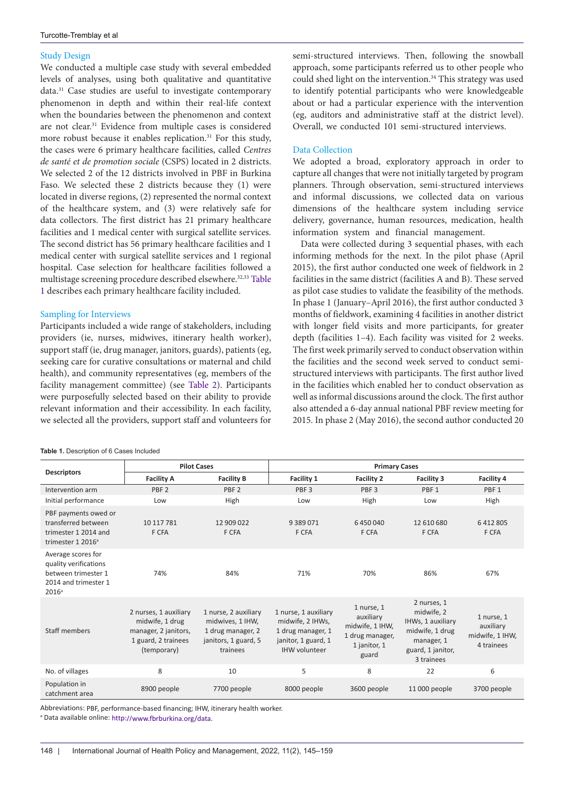## Study Design

We conducted a multiple case study with several embedded levels of analyses, using both qualitative and quantitative data.31 Case studies are useful to investigate contemporary phenomenon in depth and within their real-life context when the boundaries between the phenomenon and context are not clear.31 Evidence from multiple cases is considered more robust because it enables replication.<sup>31</sup> For this study, the cases were 6 primary healthcare facilities, called *Centres de santé et de promotion sociale* (CSPS) located in 2 districts. We selected 2 of the 12 districts involved in PBF in Burkina Faso. We selected these 2 districts because they (1) were located in diverse regions, (2) represented the normal context of the healthcare system, and (3) were relatively safe for data collectors. The first district has 21 primary healthcare facilities and 1 medical center with surgical satellite services. The second district has 56 primary healthcare facilities and 1 medical center with surgical satellite services and 1 regional hospital. Case selection for healthcare facilities followed a multistage screening procedure described elsewhere.<sup>32,33</sup> [Table](#page-3-0) [1](#page-3-0) describes each primary healthcare facility included.

## Sampling for Interviews

Participants included a wide range of stakeholders, including providers (ie, nurses, midwives, itinerary health worker), support staff (ie, drug manager, janitors, guards), patients (eg, seeking care for curative consultations or maternal and child health), and community representatives (eg, members of the facility management committee) (see [Table 2\)](#page-4-0). Participants were purposefully selected based on their ability to provide relevant information and their accessibility. In each facility, we selected all the providers, support staff and volunteers for

<span id="page-3-0"></span>**Table 1.** Description of 6 Cases Included

semi-structured interviews. Then, following the snowball approach, some participants referred us to other people who could shed light on the intervention.<sup>34</sup> This strategy was used to identify potential participants who were knowledgeable about or had a particular experience with the intervention (eg, auditors and administrative staff at the district level). Overall, we conducted 101 semi-structured interviews.

## Data Collection

We adopted a broad, exploratory approach in order to capture all changes that were not initially targeted by program planners. Through observation, semi-structured interviews and informal discussions, we collected data on various dimensions of the healthcare system including service delivery, governance, human resources, medication, health information system and financial management.

Data were collected during 3 sequential phases, with each informing methods for the next. In the pilot phase (April 2015), the first author conducted one week of fieldwork in 2 facilities in the same district (facilities A and B). These served as pilot case studies to validate the feasibility of the methods. In phase 1 (January–April 2016), the first author conducted 3 months of fieldwork, examining 4 facilities in another district with longer field visits and more participants, for greater depth (facilities 1–4). Each facility was visited for 2 weeks. The first week primarily served to conduct observation within the facilities and the second week served to conduct semistructured interviews with participants. The first author lived in the facilities which enabled her to conduct observation as well as informal discussions around the clock. The first author also attended a 6-day annual national PBF review meeting for 2015. In phase 2 (May 2016), the second author conducted 20

|                                                                                                                 | <b>Pilot Cases</b>                                                                                     |                                                                                                   | <b>Primary Cases</b>                                                                                         |                                                                                        |                                                                                                                    |                                                          |
|-----------------------------------------------------------------------------------------------------------------|--------------------------------------------------------------------------------------------------------|---------------------------------------------------------------------------------------------------|--------------------------------------------------------------------------------------------------------------|----------------------------------------------------------------------------------------|--------------------------------------------------------------------------------------------------------------------|----------------------------------------------------------|
| <b>Descriptors</b>                                                                                              | <b>Facility A</b>                                                                                      | <b>Facility B</b>                                                                                 | Facility 1                                                                                                   | <b>Facility 2</b>                                                                      | <b>Facility 3</b>                                                                                                  | Facility 4                                               |
| Intervention arm                                                                                                | PBF <sub>2</sub>                                                                                       | PBF <sub>2</sub>                                                                                  | PBF <sub>3</sub>                                                                                             | PBF <sub>3</sub>                                                                       | PBF <sub>1</sub>                                                                                                   | PBF <sub>1</sub>                                         |
| Initial performance                                                                                             | Low                                                                                                    | High                                                                                              | Low                                                                                                          | High                                                                                   | Low                                                                                                                | High                                                     |
| PBF payments owed or<br>transferred between<br>trimester 1 2014 and<br>trimester 1 2016 <sup>a</sup>            | 10 117 781<br>F CFA                                                                                    | 12 909 022<br>F CFA                                                                               | 9 3 8 9 0 7 1<br>F CFA                                                                                       | 6450040<br>F CFA                                                                       | 12 610 680<br>F CFA                                                                                                | 6 412 805<br>F CFA                                       |
| Average scores for<br>quality verifications<br>between trimester 1<br>2014 and trimester 1<br>2016 <sup>a</sup> | 74%                                                                                                    | 84%                                                                                               | 71%                                                                                                          | 70%                                                                                    | 86%                                                                                                                | 67%                                                      |
| Staff members                                                                                                   | 2 nurses, 1 auxiliary<br>midwife, 1 drug<br>manager, 2 janitors,<br>1 guard, 2 trainees<br>(temporary) | 1 nurse, 2 auxiliary<br>midwives, 1 IHW,<br>1 drug manager, 2<br>janitors, 1 guard, 5<br>trainees | 1 nurse, 1 auxiliary<br>midwife, 2 IHWs,<br>1 drug manager, 1<br>janitor, 1 guard, 1<br><b>IHW</b> volunteer | 1 nurse, 1<br>auxiliary<br>midwife, 1 IHW,<br>1 drug manager,<br>1 janitor, 1<br>guard | 2 nurses, 1<br>midwife, 2<br>IHWs, 1 auxiliary<br>midwife, 1 drug<br>manager, 1<br>guard, 1 janitor,<br>3 trainees | 1 nurse, 1<br>auxiliary<br>midwife, 1 IHW,<br>4 trainees |
| No. of villages                                                                                                 | 8                                                                                                      | 10                                                                                                | 5                                                                                                            | 8                                                                                      | 22                                                                                                                 | 6                                                        |
| Population in<br>catchment area                                                                                 | 8900 people                                                                                            | 7700 people                                                                                       | 8000 people                                                                                                  | 3600 people                                                                            | 11 000 people                                                                                                      | 3700 people                                              |

Abbreviations: PBF, performance-based financing; IHW, itinerary health worker.

a Data available online: [http://www.fbrburkina.org/data.](http://www.fbrburkina.org/data)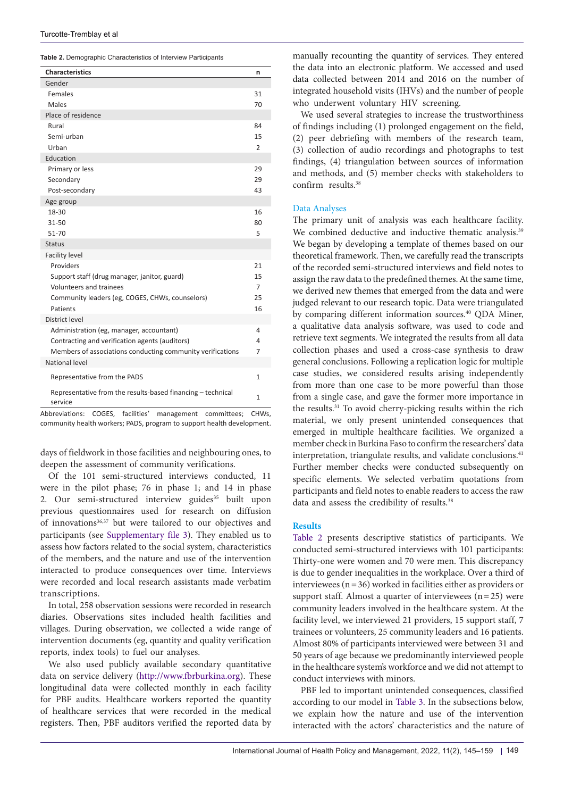<span id="page-4-0"></span>**Table 2.** Demographic Characteristics of Interview Participants

| <b>Characteristics</b>                                                 | n              |
|------------------------------------------------------------------------|----------------|
| Gender                                                                 |                |
| Females                                                                | 31             |
| Males                                                                  | 70             |
| Place of residence                                                     |                |
| Rural                                                                  | 84             |
| Semi-urban                                                             | 15             |
| Urban                                                                  | $\overline{2}$ |
| Education                                                              |                |
| Primary or less                                                        | 29             |
| Secondary                                                              | 29             |
| Post-secondary                                                         | 43             |
| Age group                                                              |                |
| 18-30                                                                  | 16             |
| 31-50                                                                  | 80             |
| 51-70                                                                  | 5              |
| <b>Status</b>                                                          |                |
| <b>Facility level</b>                                                  |                |
| Providers                                                              | 21             |
| Support staff (drug manager, janitor, guard)                           | 15             |
| Volunteers and trainees                                                | 7              |
| Community leaders (eg, COGES, CHWs, counselors)                        | 25             |
| Patients                                                               | 16             |
| District level                                                         |                |
| Administration (eg, manager, accountant)                               | 4              |
| Contracting and verification agents (auditors)                         | 4              |
| Members of associations conducting community verifications             | 7              |
| National level                                                         |                |
| Representative from the PADS                                           | 1              |
| Representative from the results-based financing - technical<br>service | 1              |

Abbreviations: COGES, facilities' management committees; CHWs, community health workers; PADS, program to support health development.

days of fieldwork in those facilities and neighbouring ones, to deepen the assessment of community verifications.

Of the 101 semi-structured interviews conducted, 11 were in the pilot phase; 76 in phase 1; and 14 in phase 2. Our semi-structured interview guides<sup>35</sup> built upon previous questionnaires used for research on diffusion of innovations $36,37$  but were tailored to our objectives and participants (see [Supplementary file 3\)](#page-13-2). They enabled us to assess how factors related to the social system, characteristics of the members, and the nature and use of the intervention interacted to produce consequences over time. Interviews were recorded and local research assistants made verbatim transcriptions.

In total, 258 observation sessions were recorded in research diaries. Observations sites included health facilities and villages. During observation, we collected a wide range of intervention documents (eg, quantity and quality verification reports, index tools) to fuel our analyses.

We also used publicly available secondary quantitative data on service delivery [\(http://www.fbrburkina.org](http://www.fbrburkina.org)). These longitudinal data were collected monthly in each facility for PBF audits. Healthcare workers reported the quantity of healthcare services that were recorded in the medical registers. Then, PBF auditors verified the reported data by

manually recounting the quantity of services. They entered the data into an electronic platform. We accessed and used data collected between 2014 and 2016 on the number of integrated household visits (IHVs) and the number of people who underwent voluntary HIV screening.

We used several strategies to increase the trustworthiness of findings including (1) prolonged engagement on the field, (2) peer debriefing with members of the research team, (3) collection of audio recordings and photographs to test findings, (4) triangulation between sources of information and methods, and (5) member checks with stakeholders to confirm results.<sup>38</sup>

## Data Analyses

The primary unit of analysis was each healthcare facility. We combined deductive and inductive thematic analysis.<sup>39</sup> We began by developing a template of themes based on our theoretical framework. Then, we carefully read the transcripts of the recorded semi-structured interviews and field notes to assign the raw data to the predefined themes. At the same time, we derived new themes that emerged from the data and were judged relevant to our research topic. Data were triangulated by comparing different information sources.<sup>40</sup> QDA Miner, a qualitative data analysis software, was used to code and retrieve text segments. We integrated the results from all data collection phases and used a cross-case synthesis to draw general conclusions. Following a replication logic for multiple case studies, we considered results arising independently from more than one case to be more powerful than those from a single case, and gave the former more importance in the results.<sup>31</sup> To avoid cherry-picking results within the rich material, we only present unintended consequences that emerged in multiple healthcare facilities. We organized a member check in Burkina Faso to confirm the researchers' data interpretation, triangulate results, and validate conclusions.<sup>41</sup> Further member checks were conducted subsequently on specific elements. We selected verbatim quotations from participants and field notes to enable readers to access the raw data and assess the credibility of results.<sup>38</sup>

## **Results**

[Table 2](#page-4-0) presents descriptive statistics of participants. We conducted semi-structured interviews with 101 participants: Thirty-one were women and 70 were men. This discrepancy is due to gender inequalities in the workplace. Over a third of interviewees ( $n=36$ ) worked in facilities either as providers or support staff. Almost a quarter of interviewees  $(n=25)$  were community leaders involved in the healthcare system. At the facility level, we interviewed 21 providers, 15 support staff, 7 trainees or volunteers, 25 community leaders and 16 patients. Almost 80% of participants interviewed were between 31 and 50 years of age because we predominantly interviewed people in the healthcare system's workforce and we did not attempt to conduct interviews with minors.

PBF led to important unintended consequences, classified according to our model in [Table 3.](#page-5-0) In the subsections below, we explain how the nature and use of the intervention interacted with the actors' characteristics and the nature of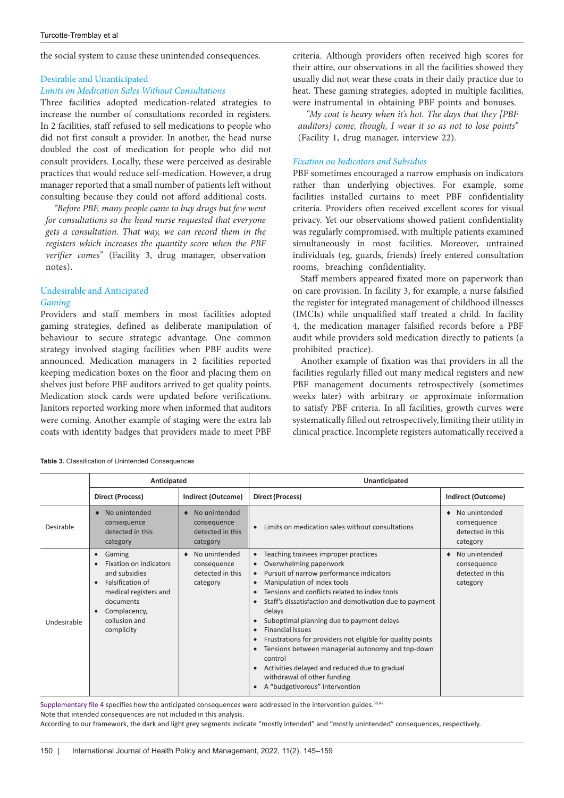the social system to cause these unintended consequences.

# Desirable and Unanticipated

## *Limits on Medication Sales Without Consultations*

Three facilities adopted medication-related strategies to increase the number of consultations recorded in registers. In 2 facilities, staff refused to sell medications to people who did not first consult a provider. In another, the head nurse doubled the cost of medication for people who did not consult providers. Locally, these were perceived as desirable practices that would reduce self-medication. However, a drug manager reported that a small number of patients left without consulting because they could not afford additional costs.

*"Before PBF, many people came to buy drugs but few went for consultations so the head nurse requested that everyone gets a consultation. That way, we can record them in the registers which increases the quantity score when the PBF verifier comes*" (Facility 3, drug manager, observation notes).

# Undesirable and Anticipated

## *Gaming*

Providers and staff members in most facilities adopted gaming strategies, defined as deliberate manipulation of behaviour to secure strategic advantage. One common strategy involved staging facilities when PBF audits were announced. Medication managers in 2 facilities reported keeping medication boxes on the floor and placing them on shelves just before PBF auditors arrived to get quality points. Medication stock cards were updated before verifications. Janitors reported working more when informed that auditors were coming. Another example of staging were the extra lab coats with identity badges that providers made to meet PBF

criteria. Although providers often received high scores for their attire, our observations in all the facilities showed they usually did not wear these coats in their daily practice due to heat. These gaming strategies, adopted in multiple facilities, were instrumental in obtaining PBF points and bonuses.

*"My coat is heavy when it's hot. The days that they [PBF auditors] come, though, I wear it so as not to lose points"*  (Facility 1, drug manager, interview 22).

## *Fixation on Indicators and Subsidies*

PBF sometimes encouraged a narrow emphasis on indicators rather than underlying objectives. For example, some facilities installed curtains to meet PBF confidentiality criteria. Providers often received excellent scores for visual privacy. Yet our observations showed patient confidentiality was regularly compromised, with multiple patients examined simultaneously in most facilities. Moreover, untrained individuals (eg, guards, friends) freely entered consultation rooms, breaching confidentiality.

Staff members appeared fixated more on paperwork than on care provision. In facility 3, for example, a nurse falsified the register for integrated management of childhood illnesses (IMCIs) while unqualified staff treated a child. In facility 4, the medication manager falsified records before a PBF audit while providers sold medication directly to patients (a prohibited practice).

Another example of fixation was that providers in all the facilities regularly filled out many medical registers and new PBF management documents retrospectively (sometimes weeks later) with arbitrary or approximate information to satisfy PBF criteria. In all facilities, growth curves were systematically filled out retrospectively, limiting their utility in clinical practice. Incomplete registers automatically received a

<span id="page-5-0"></span>

| Table 3. Classification of Unintended Consequences |  |  |  |
|----------------------------------------------------|--|--|--|
|----------------------------------------------------|--|--|--|

|             | Anticipated                                                                                                                                                                                                    |                                                              | Unanticipated                                                                                                                                                                                                                                                                                                                                                                                                                                                                                                                                                                                        |                                                              |  |
|-------------|----------------------------------------------------------------------------------------------------------------------------------------------------------------------------------------------------------------|--------------------------------------------------------------|------------------------------------------------------------------------------------------------------------------------------------------------------------------------------------------------------------------------------------------------------------------------------------------------------------------------------------------------------------------------------------------------------------------------------------------------------------------------------------------------------------------------------------------------------------------------------------------------------|--------------------------------------------------------------|--|
|             | <b>Direct (Process)</b>                                                                                                                                                                                        | <b>Indirect (Outcome)</b>                                    | Direct (Process)                                                                                                                                                                                                                                                                                                                                                                                                                                                                                                                                                                                     | <b>Indirect (Outcome)</b>                                    |  |
| Desirable   | No unintended<br>consequence<br>detected in this<br>category                                                                                                                                                   | No unintended<br>consequence<br>detected in this<br>category | Limits on medication sales without consultations                                                                                                                                                                                                                                                                                                                                                                                                                                                                                                                                                     | No unintended<br>consequence<br>detected in this<br>category |  |
| Undesirable | Gaming<br>$\bullet$<br>Fixation on indicators<br>$\bullet$<br>and subsidies<br>Falsification of<br>$\bullet$<br>medical registers and<br>documents<br>Complacency,<br>$\bullet$<br>collusion and<br>complicity | No unintended<br>consequence<br>detected in this<br>category | Teaching trainees improper practices<br>$\bullet$<br>Overwhelming paperwork<br>Pursuit of narrow performance indicators<br>Manipulation of index tools<br>Tensions and conflicts related to index tools<br>Staff's dissatisfaction and demotivation due to payment<br>delays<br>Suboptimal planning due to payment delays<br><b>Financial issues</b><br>Frustrations for providers not eligible for quality points<br>Tensions between managerial autonomy and top-down<br>control<br>Activities delayed and reduced due to gradual<br>withdrawal of other funding<br>A "budgetivorous" intervention | No unintended<br>consequence<br>detected in this<br>category |  |

S[upplementary file 4](#page-13-3) specifies how the anticipated consequences were addressed in the intervention guides.30,42

Note that intended consequences are not included in this analysis.

According to our framework, the dark and light grey segments indicate "mostly intended" and "mostly unintended" consequences, respectively.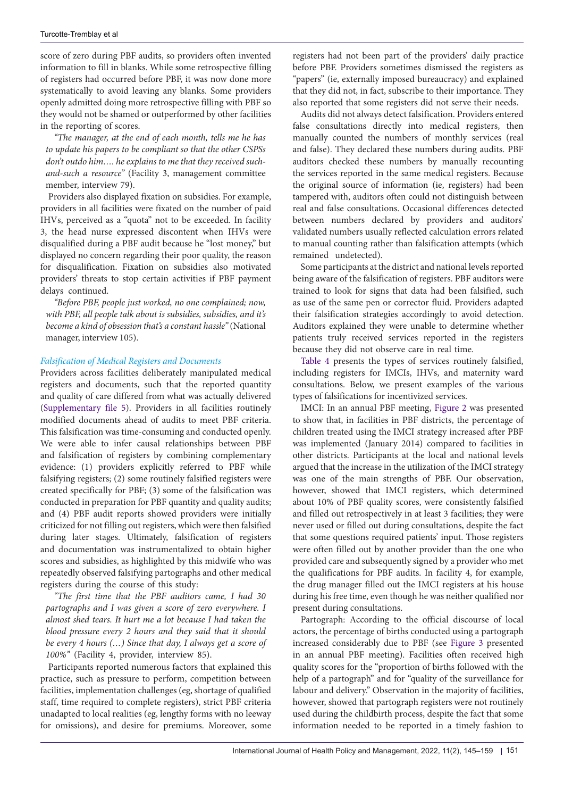score of zero during PBF audits, so providers often invented information to fill in blanks. While some retrospective filling of registers had occurred before PBF, it was now done more systematically to avoid leaving any blanks. Some providers openly admitted doing more retrospective filling with PBF so they would not be shamed or outperformed by other facilities in the reporting of scores.

*"The manager, at the end of each month, tells me he has to update his papers to be compliant so that the other CSPSs don't outdo him…. he explains to me that they received suchand-such a resource"* (Facility 3, management committee member, interview 79).

Providers also displayed fixation on subsidies. For example, providers in all facilities were fixated on the number of paid IHVs, perceived as a "quota" not to be exceeded. In facility 3, the head nurse expressed discontent when IHVs were disqualified during a PBF audit because he "lost money," but displayed no concern regarding their poor quality, the reason for disqualification. Fixation on subsidies also motivated providers' threats to stop certain activities if PBF payment delays continued.

*"Before PBF, people just worked, no one complained; now, with PBF, all people talk about is subsidies, subsidies, and it's become a kind of obsession that's a constant hassle"* (National manager, interview 105).

#### *Falsification of Medical Registers and Documents*

Providers across facilities deliberately manipulated medical registers and documents, such that the reported quantity and quality of care differed from what was actually delivered ([Supplementary file 5\)](#page-13-4). Providers in all facilities routinely modified documents ahead of audits to meet PBF criteria. This falsification was time-consuming and conducted openly. We were able to infer causal relationships between PBF and falsification of registers by combining complementary evidence: (1) providers explicitly referred to PBF while falsifying registers; (2) some routinely falsified registers were created specifically for PBF; (3) some of the falsification was conducted in preparation for PBF quantity and quality audits; and (4) PBF audit reports showed providers were initially criticized for not filling out registers, which were then falsified during later stages. Ultimately, falsification of registers and documentation was instrumentalized to obtain higher scores and subsidies, as highlighted by this midwife who was repeatedly observed falsifying partographs and other medical registers during the course of this study:

*"The first time that the PBF auditors came, I had 30 partographs and I was given a score of zero everywhere. I almost shed tears. It hurt me a lot because I had taken the blood pressure every 2 hours and they said that it should be every 4 hours (…) Since that day, I always get a score of 100%"* (Facility 4, provider, interview 85).

Participants reported numerous factors that explained this practice, such as pressure to perform, competition between facilities, implementation challenges (eg, shortage of qualified staff, time required to complete registers), strict PBF criteria unadapted to local realities (eg, lengthy forms with no leeway for omissions), and desire for premiums. Moreover, some

registers had not been part of the providers' daily practice before PBF. Providers sometimes dismissed the registers as "papers" (ie, externally imposed bureaucracy) and explained that they did not, in fact, subscribe to their importance. They also reported that some registers did not serve their needs.

Audits did not always detect falsification. Providers entered false consultations directly into medical registers, then manually counted the numbers of monthly services (real and false). They declared these numbers during audits. PBF auditors checked these numbers by manually recounting the services reported in the same medical registers. Because the original source of information (ie, registers) had been tampered with, auditors often could not distinguish between real and false consultations. Occasional differences detected between numbers declared by providers and auditors' validated numbers usually reflected calculation errors related to manual counting rather than falsification attempts (which remained undetected).

Some participants at the district and national levels reported being aware of the falsification of registers. PBF auditors were trained to look for signs that data had been falsified, such as use of the same pen or corrector fluid. Providers adapted their falsification strategies accordingly to avoid detection. Auditors explained they were unable to determine whether patients truly received services reported in the registers because they did not observe care in real time.

[Table 4](#page-7-0) presents the types of services routinely falsified, including registers for IMCIs, IHVs, and maternity ward consultations. Below, we present examples of the various types of falsifications for incentivized services.

IMCI: In an annual PBF meeting, [Figure 2](#page-8-0) was presented to show that, in facilities in PBF districts, the percentage of children treated using the IMCI strategy increased after PBF was implemented (January 2014) compared to facilities in other districts. Participants at the local and national levels argued that the increase in the utilization of the IMCI strategy was one of the main strengths of PBF. Our observation, however, showed that IMCI registers, which determined about 10% of PBF quality scores, were consistently falsified and filled out retrospectively in at least 3 facilities; they were never used or filled out during consultations, despite the fact that some questions required patients' input. Those registers were often filled out by another provider than the one who provided care and subsequently signed by a provider who met the qualifications for PBF audits. In facility 4, for example, the drug manager filled out the IMCI registers at his house during his free time, even though he was neither qualified nor present during consultations.

Partograph: According to the official discourse of local actors, the percentage of births conducted using a partograph increased considerably due to PBF (see [Figure 3](#page-8-1) presented in an annual PBF meeting). Facilities often received high quality scores for the "proportion of births followed with the help of a partograph" and for "quality of the surveillance for labour and delivery." Observation in the majority of facilities, however, showed that partograph registers were not routinely used during the childbirth process, despite the fact that some information needed to be reported in a timely fashion to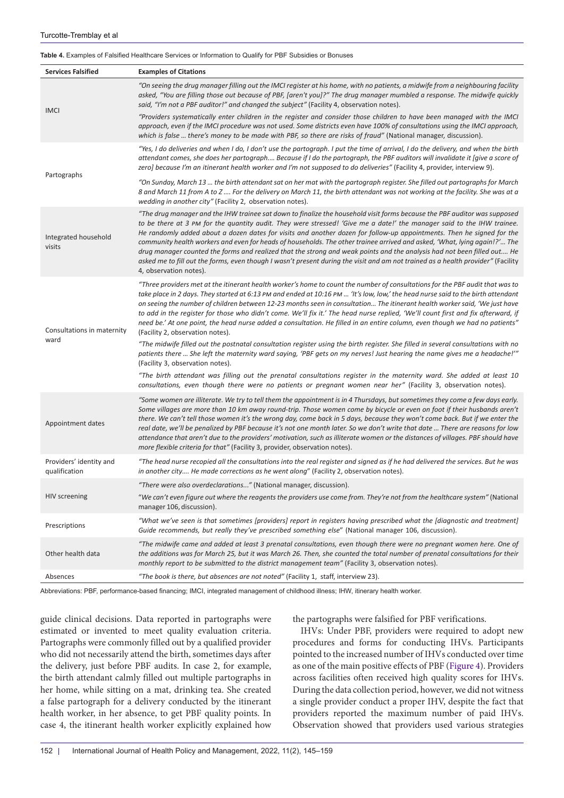#### <span id="page-7-0"></span>**Table 4.** Examples of Falsified Healthcare Services or Information to Qualify for PBF Subsidies or Bonuses

| <b>Services Falsified</b>                | <b>Examples of Citations</b>                                                                                                                                                                                                                                                                                                                                                                                                                                                                                                                                                                                                                                                                                                                                                                                                                                                                                                                                                                                                                                                                                                          |
|------------------------------------------|---------------------------------------------------------------------------------------------------------------------------------------------------------------------------------------------------------------------------------------------------------------------------------------------------------------------------------------------------------------------------------------------------------------------------------------------------------------------------------------------------------------------------------------------------------------------------------------------------------------------------------------------------------------------------------------------------------------------------------------------------------------------------------------------------------------------------------------------------------------------------------------------------------------------------------------------------------------------------------------------------------------------------------------------------------------------------------------------------------------------------------------|
| <b>IMCI</b>                              | "On seeing the drug manager filling out the IMCI register at his home, with no patients, a midwife from a neighbouring facility<br>asked, "You are filling those out because of PBF, [aren't you]?" The drug manager mumbled a response. The midwife quickly<br>said, "I'm not a PBF auditor!" and changed the subject" (Facility 4, observation notes).                                                                                                                                                                                                                                                                                                                                                                                                                                                                                                                                                                                                                                                                                                                                                                              |
|                                          | "Providers systematically enter children in the register and consider those children to have been managed with the IMCI<br>approach, even if the IMCI procedure was not used. Some districts even have 100% of consultations using the IMCI approach,<br>which is false  there's money to be made with PBF, so there are risks of fraud" (National manager, discussion).                                                                                                                                                                                                                                                                                                                                                                                                                                                                                                                                                                                                                                                                                                                                                              |
| Partographs                              | "Yes, I do deliveries and when I do, I don't use the partograph. I put the time of arrival, I do the delivery, and when the birth<br>attendant comes, she does her partograph Because if I do the partograph, the PBF auditors will invalidate it [give a score of<br>zero] because I'm an itinerant health worker and I'm not supposed to do deliveries" (Facility 4, provider, interview 9).                                                                                                                                                                                                                                                                                                                                                                                                                                                                                                                                                                                                                                                                                                                                        |
|                                          | "On Sunday, March 13 … the birth attendant sat on her mat with the partograph register. She filled out partographs for March<br>8 and March 11 from A to Z  For the delivery on March 11, the birth attendant was not working at the facility. She was at a<br>wedding in another city" (Facility 2, observation notes).                                                                                                                                                                                                                                                                                                                                                                                                                                                                                                                                                                                                                                                                                                                                                                                                              |
| Integrated household<br>visits           | "The drug manager and the IHW trainee sat down to finalize the household visit forms because the PBF auditor was supposed<br>to be there at 3 PM for the quantity audit. They were stressed! 'Give me a date!' the manager said to the IHW trainee.<br>He randomly added about a dozen dates for visits and another dozen for follow-up appointments. Then he signed for the<br>community health workers and even for heads of households. The other trainee arrived and asked, 'What, lying again!?' The<br>drug manager counted the forms and realized that the strong and weak points and the analysis had not been filled out He<br>asked me to fill out the forms, even though I wasn't present during the visit and am not trained as a health provider" (Facility<br>4, observation notes).                                                                                                                                                                                                                                                                                                                                    |
| Consultations in maternity<br>ward       | "Three providers met at the itinerant health worker's home to count the number of consultations for the PBF audit that was to<br>take place in 2 days. They started at 6:13 PM and ended at 10:16 PM  'It's low, low,' the head nurse said to the birth attendant<br>on seeing the number of children between 12-23 months seen in consultation The itinerant health worker said, 'We just have<br>to add in the register for those who didn't come. We'll fix it.' The head nurse replied, 'We'll count first and fix afterward, if<br>need be.' At one point, the head nurse added a consultation. He filled in an entire column, even though we had no patients"<br>(Facility 2, observation notes).<br>"The midwife filled out the postnatal consultation register using the birth register. She filled in several consultations with no<br>patients there  She left the maternity ward saying, 'PBF gets on my nerves! Just hearing the name gives me a headache!'"<br>(Facility 3, observation notes).<br>"The birth attendant was filling out the prenatal consultations register in the maternity ward. She added at least 10 |
| Appointment dates                        | consultations, even though there were no patients or pregnant women near her" (Facility 3, observation notes).<br>"Some women are illiterate. We try to tell them the appointment is in 4 Thursdays, but sometimes they come a few days early.<br>Some villages are more than 10 km away round-trip. Those women come by bicycle or even on foot if their husbands aren't<br>there. We can't tell those women it's the wrong day, come back in 5 days, because they won't come back. But if we enter the<br>real date, we'll be penalized by PBF because it's not one month later. So we don't write that date  There are reasons for low<br>attendance that aren't due to the providers' motivation, such as illiterate women or the distances of villages. PBF should have<br>more flexible criteria for that" (Facility 3, provider, observation notes).                                                                                                                                                                                                                                                                           |
| Providers' identity and<br>qualification | "The head nurse recopied all the consultations into the real register and signed as if he had delivered the services. But he was<br>in another city He made corrections as he went along" (Facility 2, observation notes).                                                                                                                                                                                                                                                                                                                                                                                                                                                                                                                                                                                                                                                                                                                                                                                                                                                                                                            |
|                                          | "There were also overdeclarations" (National manager, discussion).                                                                                                                                                                                                                                                                                                                                                                                                                                                                                                                                                                                                                                                                                                                                                                                                                                                                                                                                                                                                                                                                    |
| HIV screening                            | "We can't even figure out where the reagents the providers use come from. They're not from the healthcare system" (National<br>manager 106, discussion).                                                                                                                                                                                                                                                                                                                                                                                                                                                                                                                                                                                                                                                                                                                                                                                                                                                                                                                                                                              |
| Prescriptions                            | "What we've seen is that sometimes [providers] report in registers having prescribed what the [diagnostic and treatment]<br>Guide recommends, but really they've prescribed something else" (National manager 106, discussion).                                                                                                                                                                                                                                                                                                                                                                                                                                                                                                                                                                                                                                                                                                                                                                                                                                                                                                       |
| Other health data                        | "The midwife came and added at least 3 prenatal consultations, even though there were no pregnant women here. One of<br>the additions was for March 25, but it was March 26. Then, she counted the total number of prenatal consultations for their<br>monthly report to be submitted to the district management team" (Facility 3, observation notes).                                                                                                                                                                                                                                                                                                                                                                                                                                                                                                                                                                                                                                                                                                                                                                               |
| Absences                                 | "The book is there, but absences are not noted" (Facility 1, staff, interview 23).                                                                                                                                                                                                                                                                                                                                                                                                                                                                                                                                                                                                                                                                                                                                                                                                                                                                                                                                                                                                                                                    |

Abbreviations: PBF, performance-based financing; IMCI, integrated management of childhood illness; IHW, itinerary health worker.

guide clinical decisions. Data reported in partographs were estimated or invented to meet quality evaluation criteria. Partographs were commonly filled out by a qualified provider who did not necessarily attend the birth, sometimes days after the delivery, just before PBF audits. In case 2, for example, the birth attendant calmly filled out multiple partographs in her home, while sitting on a mat, drinking tea. She created a false partograph for a delivery conducted by the itinerant health worker, in her absence, to get PBF quality points. In case 4, the itinerant health worker explicitly explained how

the partographs were falsified for PBF verifications.

IHVs: Under PBF, providers were required to adopt new procedures and forms for conducting IHVs. Participants pointed to the increased number of IHVs conducted over time as one of the main positive effects of PBF [\(Figure 4\)](#page-8-2). Providers across facilities often received high quality scores for IHVs. During the data collection period, however, we did not witness a single provider conduct a proper IHV, despite the fact that providers reported the maximum number of paid IHVs. Observation showed that providers used various strategies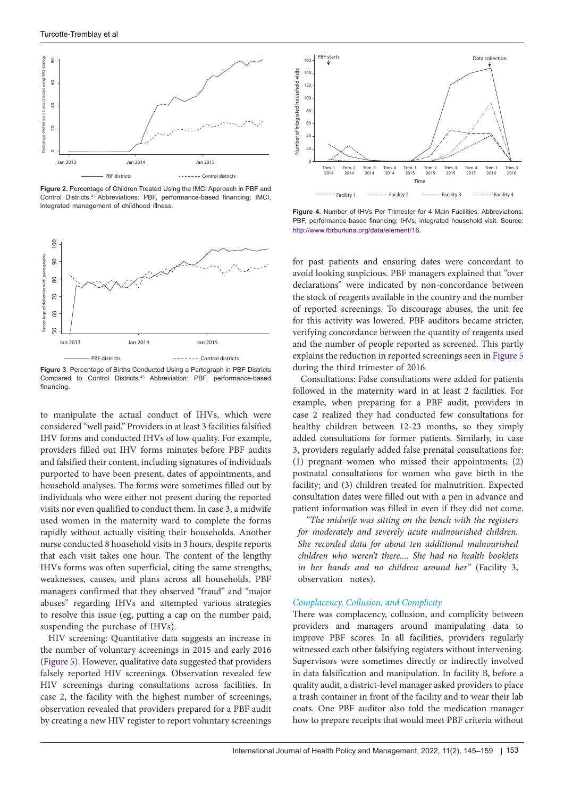<span id="page-8-0"></span>

**Figure 2.** Percentage of Children Treated Using the IMCI Approach in PBF and Control Districts.43 Abbreviations: PBF, performance-based financing; IMCI, integrated management of childhood illness. **Figure 4.** Number of IHVs Per Trimester for 4 Main Facilities. Abbreviations:

<span id="page-8-1"></span>

**Figure 3**. Percentage of Births Conducted Using a Partograph in PBF Districts Compared to Control Districts.43 Abbreviation: PBF, performance-based financing.

to manipulate the actual conduct of IHVs, which were considered "well paid." Providers in at least 3 facilities falsified IHV forms and conducted IHVs of low quality. For example, providers filled out IHV forms minutes before PBF audits and falsified their content, including signatures of individuals purported to have been present, dates of appointments, and household analyses. The forms were sometimes filled out by individuals who were either not present during the reported visits nor even qualified to conduct them. In case 3, a midwife used women in the maternity ward to complete the forms rapidly without actually visiting their households. Another nurse conducted 8 household visits in 3 hours, despite reports that each visit takes one hour. The content of the lengthy IHVs forms was often superficial, citing the same strengths, weaknesses, causes, and plans across all households. PBF managers confirmed that they observed "fraud" and "major abuses" regarding IHVs and attempted various strategies to resolve this issue (eg, putting a cap on the number paid, suspending the purchase of IHVs).

HIV screening: Quantitative data suggests an increase in the number of voluntary screenings in 2015 and early 2016 ([Figure 5\)](#page-9-0). However, qualitative data suggested that providers falsely reported HIV screenings. Observation revealed few HIV screenings during consultations across facilities. In case 2, the facility with the highest number of screenings, observation revealed that providers prepared for a PBF audit by creating a new HIV register to report voluntary screenings

<span id="page-8-2"></span>

PBF, performance-based financing; IHVs, integrated household visit. Source: http://www.fbrburkina.org/data/element/16.

for past patients and ensuring dates were concordant to avoid looking suspicious. PBF managers explained that "over declarations" were indicated by non-concordance between the stock of reagents available in the country and the number of reported screenings. To discourage abuses, the unit fee for this activity was lowered. PBF auditors became stricter, verifying concordance between the quantity of reagents used and the number of people reported as screened. This partly explains the reduction in reported screenings seen in [Figure 5](#page-9-0) during the third trimester of 2016.

Consultations: False consultations were added for patients followed in the maternity ward in at least 2 facilities. For example, when preparing for a PBF audit, providers in case 2 realized they had conducted few consultations for healthy children between 12-23 months, so they simply added consultations for former patients. Similarly, in case 3, providers regularly added false prenatal consultations for: (1) pregnant women who missed their appointments; (2) postnatal consultations for women who gave birth in the facility; and (3) children treated for malnutrition. Expected consultation dates were filled out with a pen in advance and patient information was filled in even if they did not come.

*"The midwife was sitting on the bench with the registers for moderately and severely acute malnourished children. She recorded data for about ten additional malnourished children who weren't there.... She had no health booklets in her hands and no children around her"* (Facility 3, observation notes).

## *Complacency, Collusion, and Complicity*

There was complacency, collusion, and complicity between providers and managers around manipulating data to improve PBF scores. In all facilities, providers regularly witnessed each other falsifying registers without intervening. Supervisors were sometimes directly or indirectly involved in data falsification and manipulation. In facility B, before a quality audit, a district-level manager asked providers to place a trash container in front of the facility and to wear their lab coats. One PBF auditor also told the medication manager how to prepare receipts that would meet PBF criteria without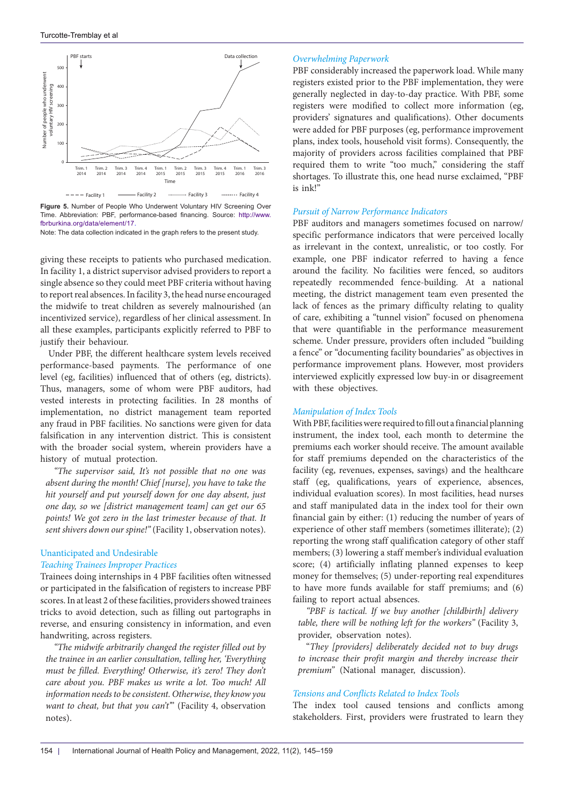<span id="page-9-0"></span>

**Figure 5.** Number of People Who Underwent Voluntary HIV Screening Over Time. Abbreviation: PBF, performance-based financing. Source: [http://www.](http://www.fbrburkina.org/data/element/17) [fbrburkina.org/data/element/17.](http://www.fbrburkina.org/data/element/17)

Note: The data collection indicated in the graph refers to the present study.

giving these receipts to patients who purchased medication. In facility 1, a district supervisor advised providers to report a single absence so they could meet PBF criteria without having to report real absences. In facility 3, the head nurse encouraged the midwife to treat children as severely malnourished (an incentivized service), regardless of her clinical assessment. In all these examples, participants explicitly referred to PBF to justify their behaviour.

Under PBF, the different healthcare system levels received performance-based payments. The performance of one level (eg, facilities) influenced that of others (eg, districts). Thus, managers, some of whom were PBF auditors, had vested interests in protecting facilities. In 28 months of implementation, no district management team reported any fraud in PBF facilities. No sanctions were given for data falsification in any intervention district. This is consistent with the broader social system, wherein providers have a history of mutual protection.

*"The supervisor said, It's not possible that no one was absent during the month! Chief [nurse], you have to take the hit yourself and put yourself down for one day absent, just one day, so we [district management team] can get our 65 points! We got zero in the last trimester because of that. It sent shivers down our spine!"* (Facility 1, observation notes).

# Unanticipated and Undesirable *Teaching Trainees Improper Practices*

Trainees doing internships in 4 PBF facilities often witnessed or participated in the falsification of registers to increase PBF scores. In at least 2 of these facilities, providers showed trainees tricks to avoid detection, such as filling out partographs in reverse, and ensuring consistency in information, and even handwriting, across registers.

*"The midwife arbitrarily changed the register filled out by the trainee in an earlier consultation, telling her, 'Everything must be filled. Everything! Otherwise, it's zero! They don't care about you. PBF makes us write a lot. Too much! All information needs to be consistent. Otherwise, they know you want to cheat, but that you can't'*" (Facility 4, observation notes).

#### *Overwhelming Paperwork*

PBF considerably increased the paperwork load. While many registers existed prior to the PBF implementation, they were generally neglected in day-to-day practice. With PBF, some registers were modified to collect more information (eg, providers' signatures and qualifications). Other documents were added for PBF purposes (eg, performance improvement plans, index tools, household visit forms). Consequently, the majority of providers across facilities complained that PBF required them to write "too much," considering the staff shortages. To illustrate this, one head nurse exclaimed, "PBF is ink!"

## *Pursuit of Narrow Performance Indicators*

PBF auditors and managers sometimes focused on narrow/ specific performance indicators that were perceived locally as irrelevant in the context, unrealistic, or too costly. For example, one PBF indicator referred to having a fence around the facility. No facilities were fenced, so auditors repeatedly recommended fence-building. At a national meeting, the district management team even presented the lack of fences as the primary difficulty relating to quality of care, exhibiting a "tunnel vision" focused on phenomena that were quantifiable in the performance measurement scheme. Under pressure, providers often included "building a fence" or "documenting facility boundaries" as objectives in performance improvement plans. However, most providers interviewed explicitly expressed low buy-in or disagreement with these objectives.

#### *Manipulation of Index Tools*

With PBF, facilities were required to fill out a financial planning instrument, the index tool, each month to determine the premiums each worker should receive. The amount available for staff premiums depended on the characteristics of the facility (eg, revenues, expenses, savings) and the healthcare staff (eg, qualifications, years of experience, absences, individual evaluation scores). In most facilities, head nurses and staff manipulated data in the index tool for their own financial gain by either: (1) reducing the number of years of experience of other staff members (sometimes illiterate); (2) reporting the wrong staff qualification category of other staff members; (3) lowering a staff member's individual evaluation score; (4) artificially inflating planned expenses to keep money for themselves; (5) under-reporting real expenditures to have more funds available for staff premiums; and (6) failing to report actual absences.

*"PBF is tactical. If we buy another [childbirth] delivery table, there will be nothing left for the workers"* (Facility 3, provider, observation notes).

"*They [providers] deliberately decided not to buy drugs to increase their profit margin and thereby increase their premium"* (National manager, discussion).

#### *Tensions and Conflicts Related to Index Tools*

The index tool caused tensions and conflicts among stakeholders. First, providers were frustrated to learn they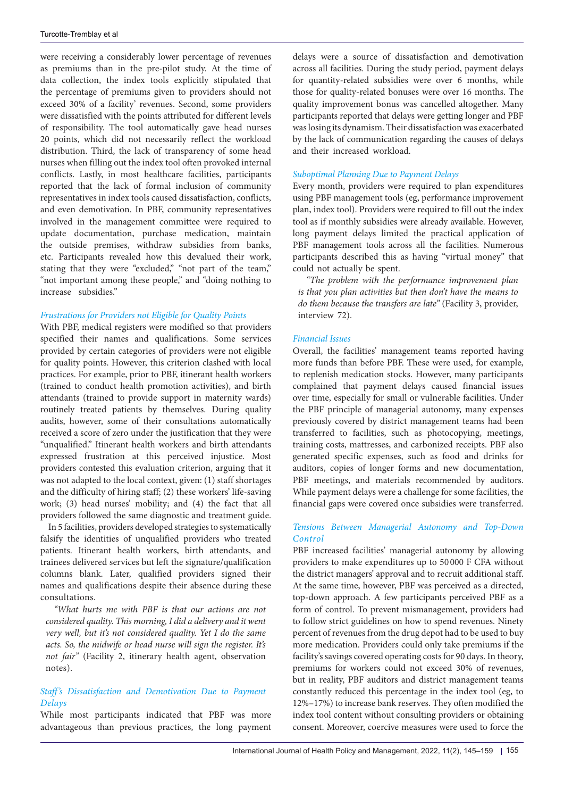were receiving a considerably lower percentage of revenues as premiums than in the pre-pilot study. At the time of data collection, the index tools explicitly stipulated that the percentage of premiums given to providers should not exceed 30% of a facility' revenues. Second, some providers were dissatisfied with the points attributed for different levels of responsibility. The tool automatically gave head nurses 20 points, which did not necessarily reflect the workload distribution. Third, the lack of transparency of some head nurses when filling out the index tool often provoked internal conflicts. Lastly, in most healthcare facilities, participants reported that the lack of formal inclusion of community representatives in index tools caused dissatisfaction, conflicts, and even demotivation. In PBF, community representatives involved in the management committee were required to update documentation, purchase medication, maintain the outside premises, withdraw subsidies from banks, etc. Participants revealed how this devalued their work, stating that they were "excluded," "not part of the team," "not important among these people," and "doing nothing to increase subsidies."

## *Frustrations for Providers not Eligible for Quality Points*

With PBF, medical registers were modified so that providers specified their names and qualifications. Some services provided by certain categories of providers were not eligible for quality points. However, this criterion clashed with local practices. For example, prior to PBF, itinerant health workers (trained to conduct health promotion activities), and birth attendants (trained to provide support in maternity wards) routinely treated patients by themselves. During quality audits, however, some of their consultations automatically received a score of zero under the justification that they were "unqualified." Itinerant health workers and birth attendants expressed frustration at this perceived injustice. Most providers contested this evaluation criterion, arguing that it was not adapted to the local context, given: (1) staff shortages and the difficulty of hiring staff; (2) these workers' life-saving work; (3) head nurses' mobility; and (4) the fact that all providers followed the same diagnostic and treatment guide.

In 5 facilities, providers developed strategies to systematically falsify the identities of unqualified providers who treated patients. Itinerant health workers, birth attendants, and trainees delivered services but left the signature/qualification columns blank. Later, qualified providers signed their names and qualifications despite their absence during these consultations.

*"What hurts me with PBF is that our actions are not considered quality. This morning, I did a delivery and it went very well, but it's not considered quality. Yet I do the same acts. So, the midwife or head nurse will sign the register. It's not fair"* (Facility 2, itinerary health agent, observation notes).

## *Staff's Dissatisfaction and Demotivation Due to Payment Delays*

While most participants indicated that PBF was more advantageous than previous practices, the long payment delays were a source of dissatisfaction and demotivation across all facilities. During the study period, payment delays for quantity-related subsidies were over 6 months, while those for quality-related bonuses were over 16 months. The quality improvement bonus was cancelled altogether. Many participants reported that delays were getting longer and PBF was losing its dynamism. Their dissatisfaction was exacerbated by the lack of communication regarding the causes of delays and their increased workload.

## *Suboptimal Planning Due to Payment Delays*

Every month, providers were required to plan expenditures using PBF management tools (eg, performance improvement plan, index tool). Providers were required to fill out the index tool as if monthly subsidies were already available. However, long payment delays limited the practical application of PBF management tools across all the facilities. Numerous participants described this as having "virtual money" that could not actually be spent.

*"The problem with the performance improvement plan is that you plan activities but then don't have the means to do them because the transfers are late"* (Facility 3, provider, interview 72).

## *Financial Issues*

Overall, the facilities' management teams reported having more funds than before PBF. These were used, for example, to replenish medication stocks. However, many participants complained that payment delays caused financial issues over time, especially for small or vulnerable facilities. Under the PBF principle of managerial autonomy, many expenses previously covered by district management teams had been transferred to facilities, such as photocopying, meetings, training costs, mattresses, and carbonized receipts. PBF also generated specific expenses, such as food and drinks for auditors, copies of longer forms and new documentation, PBF meetings, and materials recommended by auditors. While payment delays were a challenge for some facilities, the financial gaps were covered once subsidies were transferred.

## *Tensions Between Managerial Autonomy and Top-Down Control*

PBF increased facilities' managerial autonomy by allowing providers to make expenditures up to 50 000 F CFA without the district managers' approval and to recruit additional staff. At the same time, however, PBF was perceived as a directed, top-down approach. A few participants perceived PBF as a form of control. To prevent mismanagement, providers had to follow strict guidelines on how to spend revenues. Ninety percent of revenues from the drug depot had to be used to buy more medication. Providers could only take premiums if the facility's savings covered operating costs for 90 days. In theory, premiums for workers could not exceed 30% of revenues, but in reality, PBF auditors and district management teams constantly reduced this percentage in the index tool (eg, to 12%–17%) to increase bank reserves. They often modified the index tool content without consulting providers or obtaining consent. Moreover, coercive measures were used to force the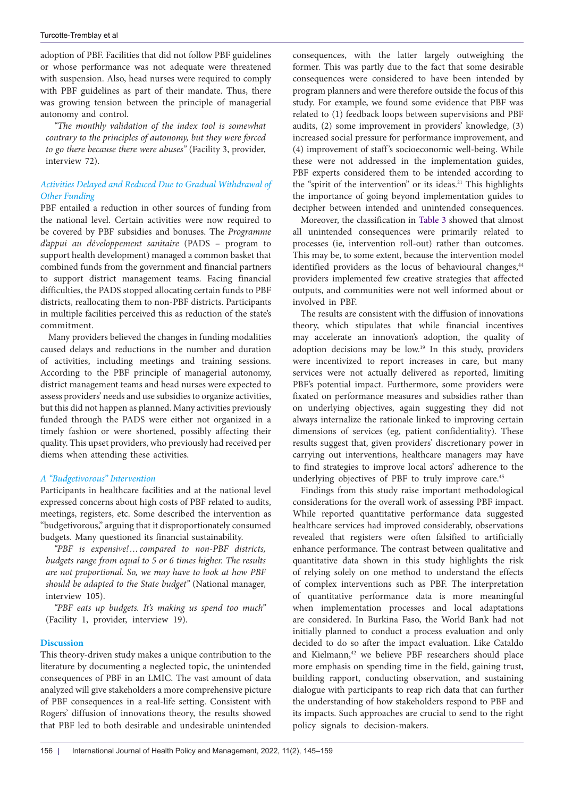adoption of PBF. Facilities that did not follow PBF guidelines or whose performance was not adequate were threatened with suspension. Also, head nurses were required to comply with PBF guidelines as part of their mandate. Thus, there was growing tension between the principle of managerial autonomy and control.

*"The monthly validation of the index tool is somewhat contrary to the principles of autonomy, but they were forced to go there because there were abuses"* (Facility 3, provider, interview 72).

# *Activities Delayed and Reduced Due to Gradual Withdrawal of Other Funding*

PBF entailed a reduction in other sources of funding from the national level. Certain activities were now required to be covered by PBF subsidies and bonuses. The *Programme d'appui au développement sanitaire* (PADS – program to support health development) managed a common basket that combined funds from the government and financial partners to support district management teams. Facing financial difficulties, the PADS stopped allocating certain funds to PBF districts, reallocating them to non-PBF districts. Participants in multiple facilities perceived this as reduction of the state's commitment.

Many providers believed the changes in funding modalities caused delays and reductions in the number and duration of activities, including meetings and training sessions. According to the PBF principle of managerial autonomy, district management teams and head nurses were expected to assess providers' needs and use subsidies to organize activities, but this did not happen as planned. Many activities previously funded through the PADS were either not organized in a timely fashion or were shortened, possibly affecting their quality. This upset providers, who previously had received per diems when attending these activities.

# *A "Budgetivorous" Intervention*

Participants in healthcare facilities and at the national level expressed concerns about high costs of PBF related to audits, meetings, registers, etc. Some described the intervention as "budgetivorous," arguing that it disproportionately consumed budgets. Many questioned its financial sustainability.

*"PBF is expensive!…compared to non-PBF districts, budgets range from equal to 5 or 6 times higher. The results are not proportional. So, we may have to look at how PBF should be adapted to the State budget"* (National manager, interview 105).

*"PBF eats up budgets. It's making us spend too much"*  (Facility 1, provider, interview 19).

# **Discussion**

This theory-driven study makes a unique contribution to the literature by documenting a neglected topic, the unintended consequences of PBF in an LMIC. The vast amount of data analyzed will give stakeholders a more comprehensive picture of PBF consequences in a real-life setting. Consistent with Rogers' diffusion of innovations theory, the results showed that PBF led to both desirable and undesirable unintended

consequences, with the latter largely outweighing the former. This was partly due to the fact that some desirable consequences were considered to have been intended by program planners and were therefore outside the focus of this study. For example, we found some evidence that PBF was related to (1) feedback loops between supervisions and PBF audits, (2) some improvement in providers' knowledge, (3) increased social pressure for performance improvement, and (4) improvement of staff 's socioeconomic well-being. While these were not addressed in the implementation guides, PBF experts considered them to be intended according to the "spirit of the intervention" or its ideas.<sup>21</sup> This highlights the importance of going beyond implementation guides to decipher between intended and unintended consequences.

Moreover, the classification in [Table 3](#page-5-0) showed that almost all unintended consequences were primarily related to processes (ie, intervention roll-out) rather than outcomes. This may be, to some extent, because the intervention model identified providers as the locus of behavioural changes,<sup>44</sup> providers implemented few creative strategies that affected outputs, and communities were not well informed about or involved in PBF.

The results are consistent with the diffusion of innovations theory, which stipulates that while financial incentives may accelerate an innovation's adoption, the quality of adoption decisions may be low.19 In this study, providers were incentivized to report increases in care, but many services were not actually delivered as reported, limiting PBF's potential impact. Furthermore, some providers were fixated on performance measures and subsidies rather than on underlying objectives, again suggesting they did not always internalize the rationale linked to improving certain dimensions of services (eg, patient confidentiality). These results suggest that, given providers' discretionary power in carrying out interventions, healthcare managers may have to find strategies to improve local actors' adherence to the underlying objectives of PBF to truly improve care.<sup>45</sup>

Findings from this study raise important methodological considerations for the overall work of assessing PBF impact. While reported quantitative performance data suggested healthcare services had improved considerably, observations revealed that registers were often falsified to artificially enhance performance. The contrast between qualitative and quantitative data shown in this study highlights the risk of relying solely on one method to understand the effects of complex interventions such as PBF. The interpretation of quantitative performance data is more meaningful when implementation processes and local adaptations are considered. In Burkina Faso, the World Bank had not initially planned to conduct a process evaluation and only decided to do so after the impact evaluation. Like Cataldo and Kielmann,<sup>42</sup> we believe PBF researchers should place more emphasis on spending time in the field, gaining trust, building rapport, conducting observation, and sustaining dialogue with participants to reap rich data that can further the understanding of how stakeholders respond to PBF and its impacts. Such approaches are crucial to send to the right policy signals to decision-makers.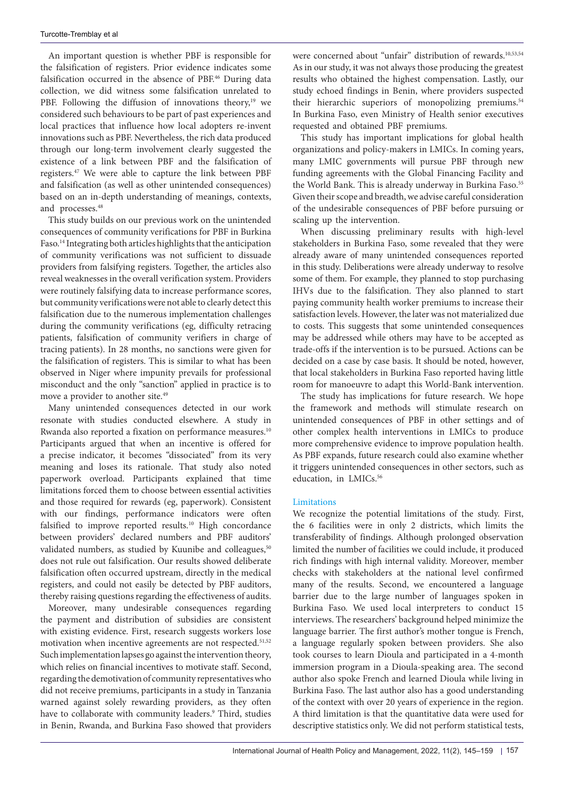An important question is whether PBF is responsible for the falsification of registers. Prior evidence indicates some falsification occurred in the absence of PBF.<sup>46</sup> During data collection, we did witness some falsification unrelated to PBF. Following the diffusion of innovations theory,<sup>19</sup> we considered such behaviours to be part of past experiences and local practices that influence how local adopters re-invent innovations such as PBF. Nevertheless, the rich data produced through our long-term involvement clearly suggested the existence of a link between PBF and the falsification of registers.47 We were able to capture the link between PBF and falsification (as well as other unintended consequences) based on an in-depth understanding of meanings, contexts, and processes.48

This study builds on our previous work on the unintended consequences of community verifications for PBF in Burkina Faso.14 Integrating both articles highlights that the anticipation of community verifications was not sufficient to dissuade providers from falsifying registers. Together, the articles also reveal weaknesses in the overall verification system. Providers were routinely falsifying data to increase performance scores, but community verifications were not able to clearly detect this falsification due to the numerous implementation challenges during the community verifications (eg, difficulty retracing patients, falsification of community verifiers in charge of tracing patients). In 28 months, no sanctions were given for the falsification of registers. This is similar to what has been observed in Niger where impunity prevails for professional misconduct and the only "sanction" applied in practice is to move a provider to another site.<sup>49</sup>

Many unintended consequences detected in our work resonate with studies conducted elsewhere. A study in Rwanda also reported a fixation on performance measures.<sup>10</sup> Participants argued that when an incentive is offered for a precise indicator, it becomes "dissociated" from its very meaning and loses its rationale. That study also noted paperwork overload. Participants explained that time limitations forced them to choose between essential activities and those required for rewards (eg, paperwork). Consistent with our findings, performance indicators were often falsified to improve reported results.<sup>10</sup> High concordance between providers' declared numbers and PBF auditors' validated numbers, as studied by Kuunibe and colleagues,<sup>50</sup> does not rule out falsification. Our results showed deliberate falsification often occurred upstream, directly in the medical registers, and could not easily be detected by PBF auditors, thereby raising questions regarding the effectiveness of audits.

Moreover, many undesirable consequences regarding the payment and distribution of subsidies are consistent with existing evidence. First, research suggests workers lose motivation when incentive agreements are not respected.<sup>51,52</sup> Such implementation lapses go against the intervention theory, which relies on financial incentives to motivate staff. Second, regarding the demotivation of community representatives who did not receive premiums, participants in a study in Tanzania warned against solely rewarding providers, as they often have to collaborate with community leaders.9 Third, studies in Benin, Rwanda, and Burkina Faso showed that providers

were concerned about "unfair" distribution of rewards.<sup>10,53,54</sup> As in our study, it was not always those producing the greatest results who obtained the highest compensation. Lastly, our study echoed findings in Benin, where providers suspected their hierarchic superiors of monopolizing premiums.<sup>54</sup> In Burkina Faso, even Ministry of Health senior executives requested and obtained PBF premiums.

This study has important implications for global health organizations and policy-makers in LMICs. In coming years, many LMIC governments will pursue PBF through new funding agreements with the Global Financing Facility and the World Bank. This is already underway in Burkina Faso.<sup>55</sup> Given their scope and breadth, we advise careful consideration of the undesirable consequences of PBF before pursuing or scaling up the intervention.

When discussing preliminary results with high-level stakeholders in Burkina Faso, some revealed that they were already aware of many unintended consequences reported in this study. Deliberations were already underway to resolve some of them. For example, they planned to stop purchasing IHVs due to the falsification. They also planned to start paying community health worker premiums to increase their satisfaction levels. However, the later was not materialized due to costs. This suggests that some unintended consequences may be addressed while others may have to be accepted as trade-offs if the intervention is to be pursued. Actions can be decided on a case by case basis. It should be noted, however, that local stakeholders in Burkina Faso reported having little room for manoeuvre to adapt this World-Bank intervention.

The study has implications for future research. We hope the framework and methods will stimulate research on unintended consequences of PBF in other settings and of other complex health interventions in LMICs to produce more comprehensive evidence to improve population health. As PBF expands, future research could also examine whether it triggers unintended consequences in other sectors, such as education, in LMICs.<sup>56</sup>

## Limitations

We recognize the potential limitations of the study. First, the 6 facilities were in only 2 districts, which limits the transferability of findings. Although prolonged observation limited the number of facilities we could include, it produced rich findings with high internal validity. Moreover, member checks with stakeholders at the national level confirmed many of the results. Second, we encountered a language barrier due to the large number of languages spoken in Burkina Faso. We used local interpreters to conduct 15 interviews. The researchers' background helped minimize the language barrier. The first author's mother tongue is French, a language regularly spoken between providers. She also took courses to learn Dioula and participated in a 4-month immersion program in a Dioula-speaking area. The second author also spoke French and learned Dioula while living in Burkina Faso. The last author also has a good understanding of the context with over 20 years of experience in the region. A third limitation is that the quantitative data were used for descriptive statistics only. We did not perform statistical tests,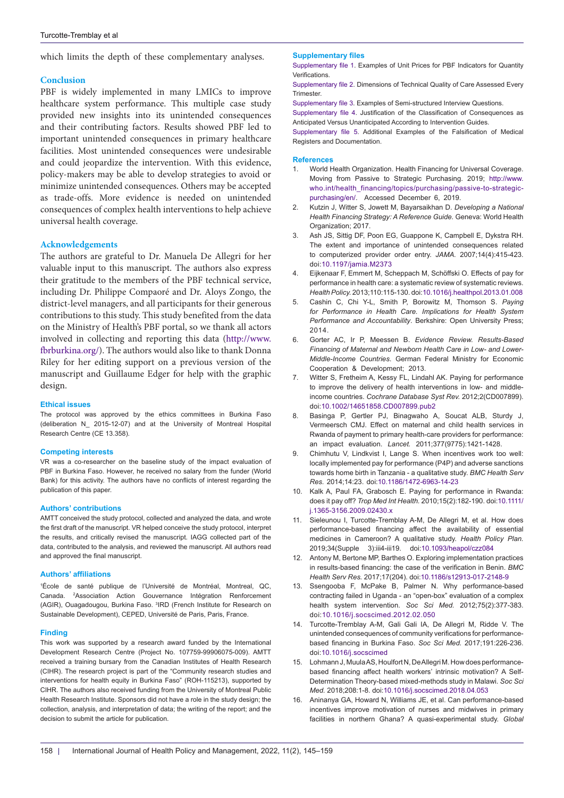which limits the depth of these complementary analyses.

#### **Conclusion**

PBF is widely implemented in many LMICs to improve healthcare system performance. This multiple case study provided new insights into its unintended consequences and their contributing factors. Results showed PBF led to important unintended consequences in primary healthcare facilities. Most unintended consequences were undesirable and could jeopardize the intervention. With this evidence, policy-makers may be able to develop strategies to avoid or minimize unintended consequences. Others may be accepted as trade-offs. More evidence is needed on unintended consequences of complex health interventions to help achieve universal health coverage.

## **Acknowledgements**

The authors are grateful to Dr. Manuela De Allegri for her valuable input to this manuscript. The authors also express their gratitude to the members of the PBF technical service, including Dr. Philippe Compaoré and Dr. Aloys Zongo, the district-level managers, and all participants for their generous contributions to this study. This study benefited from the data on the Ministry of Health's PBF portal, so we thank all actors involved in collecting and reporting this data ([http://www.](http://www.fbrburkina.org/) [fbrburkina.org/](http://www.fbrburkina.org/)). The authors would also like to thank Donna Riley for her editing support on a previous version of the manuscript and Guillaume Edger for help with the graphic design.

#### **Ethical issues**

The protocol was approved by the ethics committees in Burkina Faso (deliberation N\_ 2015-12-07) and at the University of Montreal Hospital Research Centre (CE 13.358).

#### **Competing interests**

VR was a co-researcher on the baseline study of the impact evaluation of PBF in Burkina Faso. However, he received no salary from the funder (World Bank) for this activity. The authors have no conflicts of interest regarding the publication of this paper.

#### **Authors' contributions**

AMTT conceived the study protocol, collected and analyzed the data, and wrote the first draft of the manuscript. VR helped conceive the study protocol, interpret the results, and critically revised the manuscript. IAGG collected part of the data, contributed to the analysis, and reviewed the manuscript. All authors read and approved the final manuscript.

#### **Authors' affiliations**

1 École de santé publique de l'Université de Montréal, Montreal, QC, Canada. 2 Association Action Gouvernance Intégration Renforcement (AGIR), Ouagadougou, Burkina Faso. <sup>3</sup>IRD (French Institute for Research on Sustainable Development), CEPED, Université de Paris, Paris, France.

#### **Finding**

This work was supported by a research award funded by the International Development Research Centre (Project No. 107759-99906075-009). AMTT received a training bursary from the Canadian Institutes of Health Research (CIHR). The research project is part of the "Community research studies and interventions for health equity in Burkina Faso" (ROH-115213), supported by CIHR. The authors also received funding from the University of Montreal Public Health Research Institute. Sponsors did not have a role in the study design; the collection, analysis, and interpretation of data; the writing of the report; and the decision to submit the article for publication.

#### **Supplementary files**

<span id="page-13-0"></span>[Supplementary file 1.](http://www.ijhpm.com/data/ijhpm/news/Turcotte-Tremblay-Supple-File-1-IJHPM.pdf) Examples of Unit Prices for PBF Indicators for Quantity Verifications.

<span id="page-13-1"></span>[Supplementary file 2.](http://www.ijhpm.com/data/ijhpm/news/Turcotte-Tremblay-Supple-File-2-IJHPM.pdf) Dimensions of Technical Quality of Care Assessed Every Trimester.

<span id="page-13-2"></span>[Supplementary file 3.](http://www.ijhpm.com/data/ijhpm/news/Turcotte-Tremblay-Supple-File-3-IJHPM.pdf) Examples of Semi-structured Interview Questions.

<span id="page-13-3"></span>[Supplementary file 4](http://www.ijhpm.com/data/ijhpm/news/Turcotte-Tremblay-Supple-File-4-IJHPM.pdf). Justification of the Classification of Consequences as Anticipated Versus Unanticipated According to Intervention Guides.

<span id="page-13-4"></span>[Supplementary file 5](http://www.ijhpm.com/data/ijhpm/news/Turcotte-Tremblay-Supple-File-5-IJHPM.pdf). Additional Examples of the Falsification of Medical Registers and Documentation.

#### **References**

- 1. World Health Organization. Health Financing for Universal Coverage. Moving from Passive to Strategic Purchasing. 2019; [http://www.](http://www.who.int/health_financing/topics/purchasing/passive-to-strategic-purchasing/en/) [who.int/health\\_financing/topics/purchasing/passive-to-strategic](http://www.who.int/health_financing/topics/purchasing/passive-to-strategic-purchasing/en/)[purchasing/en/.](http://www.who.int/health_financing/topics/purchasing/passive-to-strategic-purchasing/en/) Accessed December 6, 2019.
- 2. Kutzin J, Witter S, Jowett M, Bayarsaikhan D. *Developing a National Health Financing Strategy: A Reference Guide.* Geneva: World Health Organization; 2017.
- 3. Ash JS, Sittig DF, Poon EG, Guappone K, Campbell E, Dykstra RH. The extent and importance of unintended consequences related to computerized provider order entry. *JAMA.* 2007;14(4):415-423. doi:[10.1197/jamia.M2373](https://doi.org/10.1197/jamia.M2373)
- 4. Eijkenaar F, Emmert M, Scheppach M, Schöffski O. Effects of pay for performance in health care: a systematic review of systematic reviews. *Health Policy.* 2013;110:115-130. doi[:10.1016/j.healthpol.2013.01.008](https://doi.org/10.1016/j.healthpol.2013.01.008)
- 5. Cashin C, Chi Y-L, Smith P, Borowitz M, Thomson S. *Paying for Performance in Health Care. Implications for Health System Performance and Accountability*. Berkshire: Open University Press; 2014.
- 6. Gorter AC, Ir P, Meessen B. *Evidence Review. Results-Based Financing of Maternal and Newborn Health Care in Low- and Lower-Middle-Income Countries*. German Federal Ministry for Economic Cooperation & Development; 2013.
- 7. Witter S, Fretheim A, Kessy FL, Lindahl AK. Paying for performance to improve the delivery of health interventions in low- and middleincome countries. *Cochrane Database Syst Rev.* 2012;2(CD007899). doi[:10.1002/14651858.CD007899.pub2](https://doi.org/10.1002/14651858.CD007899.pub2)
- 8. Basinga P, Gertler PJ, Binagwaho A, Soucat ALB, Sturdy J, Vermeersch CMJ. Effect on maternal and child health services in Rwanda of payment to primary health-care providers for performance: an impact evaluation. *Lancet.* 2011;377(9775):1421-1428.
- 9. Chimhutu V, Lindkvist I, Lange S. When incentives work too well: locally implemented pay for performance (P4P) and adverse sanctions towards home birth in Tanzania - a qualitative study. *BMC Health Serv Res.* 2014;14:23. doi:[10.1186/1472-6963-14-23](https://doi.org/10.1186/1472-6963-14-23)
- 10. Kalk A, Paul FA, Grabosch E. Paying for performance in Rwanda: does it pay off? *Trop Med Int Health.* 2010;15(2):182-190. doi:[10.1111/](https://doi.org/10.1111/j.1365-3156.2009.02430.x) [j.1365-3156.2009.02430.x](https://doi.org/10.1111/j.1365-3156.2009.02430.x)
- 11. Sieleunou I, Turcotte-Tremblay A-M, De Allegri M, et al. How does performance-based financing affect the availability of essential medicines in Cameroon? A qualitative study. *Health Policy Plan.*  2019;34(Supple 3):iii4-iii19. doi:[10.1093/heapol/czz084](https://doi.org/10.1093/heapol/czz084)
- 12. Antony M, Bertone MP, Barthes O. Exploring implementation practices in results-based financing: the case of the verification in Benin. *BMC Health Serv Res.* 2017;17(204). doi[:10.1186/s12913-017-2148-9](https://doi.org/10.1186/s12913-017-2148-9)
- 13. Ssengooba F, McPake B, Palmer N. Why performance-based contracting failed in Uganda - an "open-box" evaluation of a complex health system intervention. *Soc Sci Med.* 2012;75(2):377-383. doi:[10.1016/j.socscimed.2012.02.050](https://doi.org/10.1016/j.socscimed.2012.02.050)
- 14. Turcotte-Tremblay A-M, Gali Gali IA, De Allegri M, Ridde V. The unintended consequences of community verifications for performancebased financing in Burkina Faso. *Soc Sci Med.* 2017;191:226-236. doi[:10.1016/j.socscimed](https://doi.org/10.1016/j.socscimed.2012.02.050)
- 15. Lohmann J, Muula AS, Houlfort N, De Allegri M. How does performancebased financing affect health workers' intrinsic motivation? A Self-Determination Theory-based mixed-methods study in Malawi. *Soc Sci Med.* 2018;208:1-8. doi[:10.1016/j.socscimed.2018.04.053](https://doi.org/10.1016/j.socscimed.2018.04.053)
- 16. Aninanya GA, Howard N, Williams JE, et al. Can performance-based incentives improve motivation of nurses and midwives in primary facilities in northern Ghana? A quasi-experimental study. *Global*